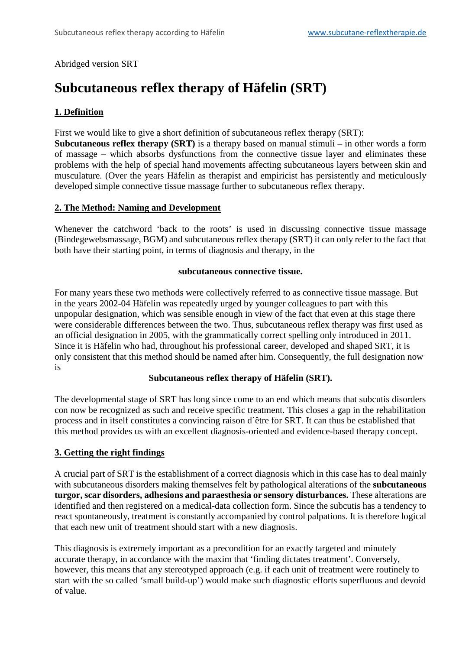## Abridged version SRT

# **Subcutaneous reflex therapy of Häfelin (SRT)**

# **1. Definition**

First we would like to give a short definition of subcutaneous reflex therapy (SRT):

**Subcutaneous reflex therapy (SRT)** is a therapy based on manual stimuli – in other words a form of massage – which absorbs dysfunctions from the connective tissue layer and eliminates these problems with the help of special hand movements affecting subcutaneous layers between skin and musculature. (Over the years Häfelin as therapist and empiricist has persistently and meticulously developed simple connective tissue massage further to subcutaneous reflex therapy.

#### **2. The Method: Naming and Development**

Whenever the catchword 'back to the roots' is used in discussing connective tissue massage (Bindegewebsmassage, BGM) and subcutaneous reflex therapy (SRT) it can only refer to the fact that both have their starting point, in terms of diagnosis and therapy, in the

#### **subcutaneous connective tissue.**

For many years these two methods were collectively referred to as connective tissue massage. But in the years 2002-04 Häfelin was repeatedly urged by younger colleagues to part with this unpopular designation, which was sensible enough in view of the fact that even at this stage there were considerable differences between the two. Thus, subcutaneous reflex therapy was first used as an official designation in 2005, with the grammatically correct spelling only introduced in 2011. Since it is Häfelin who had, throughout his professional career, developed and shaped SRT, it is only consistent that this method should be named after him. Consequently, the full designation now is

#### **Subcutaneous reflex therapy of Häfelin (SRT).**

The developmental stage of SRT has long since come to an end which means that subcutis disorders con now be recognized as such and receive specific treatment. This closes a gap in the rehabilitation process and in itself constitutes a convincing raison d´être for SRT. It can thus be established that this method provides us with an excellent diagnosis-oriented and evidence-based therapy concept.

## **3. Getting the right findings**

A crucial part of SRT is the establishment of a correct diagnosis which in this case has to deal mainly with subcutaneous disorders making themselves felt by pathological alterations of the **subcutaneous turgor, scar disorders, adhesions and paraesthesia or sensory disturbances.** These alterations are identified and then registered on a medical-data collection form. Since the subcutis has a tendency to react spontaneously, treatment is constantly accompanied by control palpations. It is therefore logical that each new unit of treatment should start with a new diagnosis.

This diagnosis is extremely important as a precondition for an exactly targeted and minutely accurate therapy, in accordance with the maxim that 'finding dictates treatment'. Conversely, however, this means that any stereotyped approach (e.g. if each unit of treatment were routinely to start with the so called 'small build-up') would make such diagnostic efforts superfluous and devoid of value.